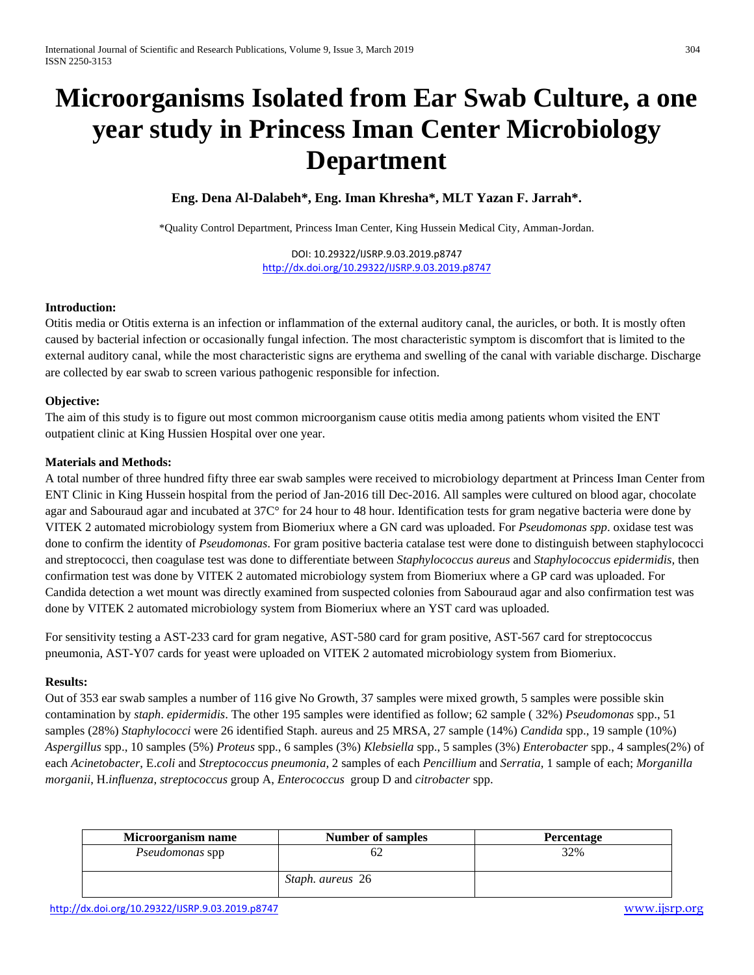# **Microorganisms Isolated from Ear Swab Culture, a one year study in Princess Iman Center Microbiology Department**

**Eng. Dena Al-Dalabeh\*, Eng. Iman Khresha\*, MLT Yazan F. Jarrah\*.**

\*Quality Control Department, Princess Iman Center, King Hussein Medical City, Amman-Jordan.

DOI: 10.29322/IJSRP.9.03.2019.p8747 <http://dx.doi.org/10.29322/IJSRP.9.03.2019.p8747>

# **Introduction:**

Otitis media or Otitis externa is an infection or inflammation of the external auditory canal, the auricles, or both. It is mostly often caused by bacterial infection or occasionally fungal infection. The most characteristic symptom is discomfort that is limited to the external auditory canal, while the most characteristic signs are erythema and swelling of the canal with variable discharge. Discharge are collected by ear swab to screen various pathogenic responsible for infection.

# **Objective:**

The aim of this study is to figure out most common microorganism cause otitis media among patients whom visited the ENT outpatient clinic at King Hussien Hospital over one year.

#### **Materials and Methods:**

A total number of three hundred fifty three ear swab samples were received to microbiology department at Princess Iman Center from ENT Clinic in King Hussein hospital from the period of Jan-2016 till Dec-2016. All samples were cultured on blood agar, chocolate agar and Sabouraud agar and incubated at 37C° for 24 hour to 48 hour. Identification tests for gram negative bacteria were done by VITEK 2 automated microbiology system from Biomeriux where a GN card was uploaded. For *Pseudomonas spp*. oxidase test was done to confirm the identity of *Pseudomonas*. For gram positive bacteria catalase test were done to distinguish between staphylococci and streptococci, then coagulase test was done to differentiate between *Staphylococcus aureus* and *Staphylococcus epidermidis,* then confirmation test was done by VITEK 2 automated microbiology system from Biomeriux where a GP card was uploaded. For Candida detection a wet mount was directly examined from suspected colonies from Sabouraud agar and also confirmation test was done by VITEK 2 automated microbiology system from Biomeriux where an YST card was uploaded.

For sensitivity testing a AST-233 card for gram negative, AST-580 card for gram positive, AST-567 card for streptococcus pneumonia, AST-Y07 cards for yeast were uploaded on VITEK 2 automated microbiology system from Biomeriux.

# **Results:**

Out of 353 ear swab samples a number of 116 give No Growth, 37 samples were mixed growth, 5 samples were possible skin contamination by *staph*. *epidermidis*. The other 195 samples were identified as follow; 62 sample ( 32%) *Pseudomonas* spp., 51 samples (28%) *Staphylococci* were 26 identified Staph. aureus and 25 MRSA, 27 sample (14%) *Candida* spp., 19 sample (10%) *Aspergillus* spp., 10 samples (5%) *Proteus* spp., 6 samples (3%) *Klebsiella* spp., 5 samples (3%) *Enterobacter* spp., 4 samples(2%) of each *Acinetobacter*, E.*coli* and *Streptococcus pneumonia,* 2 samples of each *Pencillium* and *Serratia,* 1 sample of each; *Morganilla morganii*, H.*influenza*, *streptococcus* group A, *Enterococcus* group D and *citrobacter* spp.

| Microorganism name | <b>Number of samples</b> | Percentage |
|--------------------|--------------------------|------------|
| Pseudomonas spp    |                          | 32%        |
|                    | Staph. aureus 26         |            |